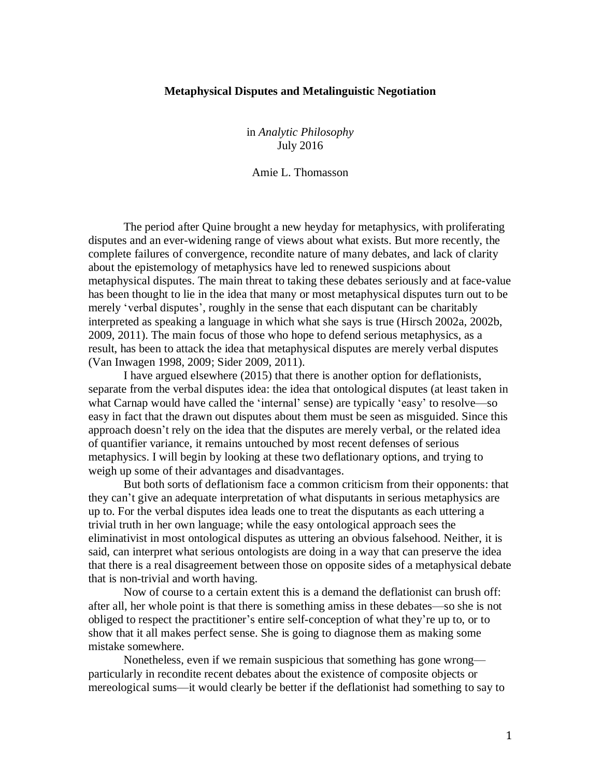## **Metaphysical Disputes and Metalinguistic Negotiation**

in *Analytic Philosophy* July 2016

Amie L. Thomasson

The period after Quine brought a new heyday for metaphysics, with proliferating disputes and an ever-widening range of views about what exists. But more recently, the complete failures of convergence, recondite nature of many debates, and lack of clarity about the epistemology of metaphysics have led to renewed suspicions about metaphysical disputes. The main threat to taking these debates seriously and at face-value has been thought to lie in the idea that many or most metaphysical disputes turn out to be merely 'verbal disputes', roughly in the sense that each disputant can be charitably interpreted as speaking a language in which what she says is true (Hirsch 2002a, 2002b, 2009, 2011). The main focus of those who hope to defend serious metaphysics, as a result, has been to attack the idea that metaphysical disputes are merely verbal disputes (Van Inwagen 1998, 2009; Sider 2009, 2011).

I have argued elsewhere (2015) that there is another option for deflationists, separate from the verbal disputes idea: the idea that ontological disputes (at least taken in what Carnap would have called the 'internal' sense) are typically 'easy' to resolve—so easy in fact that the drawn out disputes about them must be seen as misguided. Since this approach doesn't rely on the idea that the disputes are merely verbal, or the related idea of quantifier variance, it remains untouched by most recent defenses of serious metaphysics. I will begin by looking at these two deflationary options, and trying to weigh up some of their advantages and disadvantages.

But both sorts of deflationism face a common criticism from their opponents: that they can't give an adequate interpretation of what disputants in serious metaphysics are up to. For the verbal disputes idea leads one to treat the disputants as each uttering a trivial truth in her own language; while the easy ontological approach sees the eliminativist in most ontological disputes as uttering an obvious falsehood. Neither, it is said, can interpret what serious ontologists are doing in a way that can preserve the idea that there is a real disagreement between those on opposite sides of a metaphysical debate that is non-trivial and worth having.

Now of course to a certain extent this is a demand the deflationist can brush off: after all, her whole point is that there is something amiss in these debates—so she is not obliged to respect the practitioner's entire self-conception of what they're up to, or to show that it all makes perfect sense. She is going to diagnose them as making some mistake somewhere.

Nonetheless, even if we remain suspicious that something has gone wrong particularly in recondite recent debates about the existence of composite objects or mereological sums—it would clearly be better if the deflationist had something to say to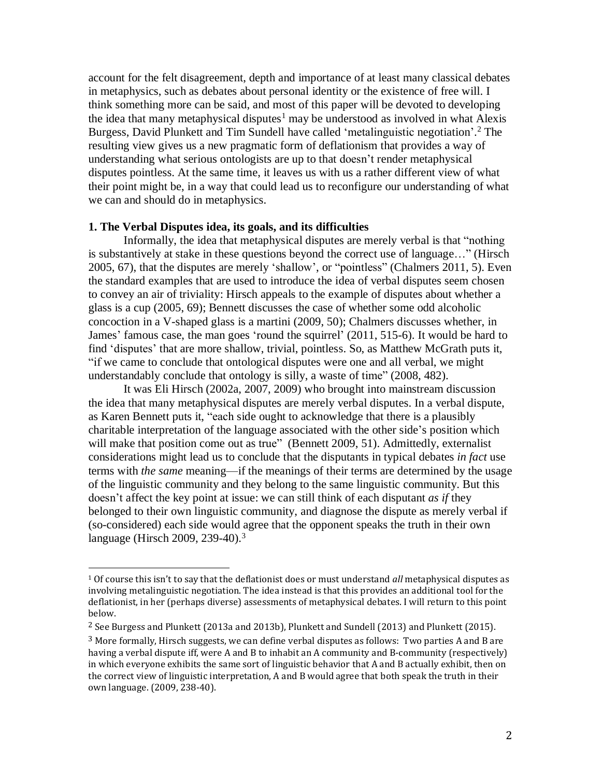account for the felt disagreement, depth and importance of at least many classical debates in metaphysics, such as debates about personal identity or the existence of free will. I think something more can be said, and most of this paper will be devoted to developing the idea that many metaphysical disputes<sup>1</sup> may be understood as involved in what Alexis Burgess, David Plunkett and Tim Sundell have called 'metalinguistic negotiation'. <sup>2</sup> The resulting view gives us a new pragmatic form of deflationism that provides a way of understanding what serious ontologists are up to that doesn't render metaphysical disputes pointless. At the same time, it leaves us with us a rather different view of what their point might be, in a way that could lead us to reconfigure our understanding of what we can and should do in metaphysics.

# **1. The Verbal Disputes idea, its goals, and its difficulties**

 $\overline{a}$ 

Informally, the idea that metaphysical disputes are merely verbal is that "nothing is substantively at stake in these questions beyond the correct use of language…" (Hirsch 2005, 67), that the disputes are merely 'shallow', or "pointless" (Chalmers 2011, 5). Even the standard examples that are used to introduce the idea of verbal disputes seem chosen to convey an air of triviality: Hirsch appeals to the example of disputes about whether a glass is a cup (2005, 69); Bennett discusses the case of whether some odd alcoholic concoction in a V-shaped glass is a martini (2009, 50); Chalmers discusses whether, in James' famous case, the man goes 'round the squirrel' (2011, 515-6). It would be hard to find 'disputes' that are more shallow, trivial, pointless. So, as Matthew McGrath puts it, "if we came to conclude that ontological disputes were one and all verbal, we might understandably conclude that ontology is silly, a waste of time" (2008, 482).

It was Eli Hirsch (2002a, 2007, 2009) who brought into mainstream discussion the idea that many metaphysical disputes are merely verbal disputes. In a verbal dispute, as Karen Bennett puts it, "each side ought to acknowledge that there is a plausibly charitable interpretation of the language associated with the other side's position which will make that position come out as true" (Bennett 2009, 51). Admittedly, externalist considerations might lead us to conclude that the disputants in typical debates *in fact* use terms with *the same* meaning—if the meanings of their terms are determined by the usage of the linguistic community and they belong to the same linguistic community. But this doesn't affect the key point at issue: we can still think of each disputant *as if* they belonged to their own linguistic community, and diagnose the dispute as merely verbal if (so-considered) each side would agree that the opponent speaks the truth in their own language (Hirsch 2009, 239-40).<sup>3</sup>

<sup>1</sup> Of course this isn't to say that the deflationist does or must understand *all* metaphysical disputes as involving metalinguistic negotiation. The idea instead is that this provides an additional tool for the deflationist, in her (perhaps diverse) assessments of metaphysical debates. I will return to this point below.

<sup>&</sup>lt;sup>2</sup> See Burgess and Plunkett (2013a and 2013b), Plunkett and Sundell (2013) and Plunkett (2015).

 $3$  More formally, Hirsch suggests, we can define verbal disputes as follows: Two parties A and B are having a verbal dispute iff, were A and B to inhabit an A community and B-community (respectively) in which everyone exhibits the same sort of linguistic behavior that A and B actually exhibit, then on the correct view of linguistic interpretation, A and B would agree that both speak the truth in their own language. (2009, 238-40).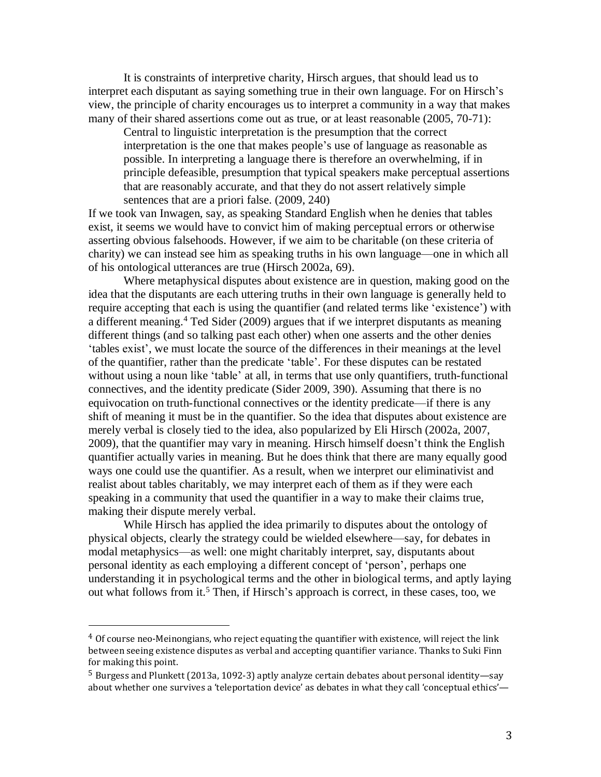It is constraints of interpretive charity, Hirsch argues, that should lead us to interpret each disputant as saying something true in their own language. For on Hirsch's view, the principle of charity encourages us to interpret a community in a way that makes many of their shared assertions come out as true, or at least reasonable (2005, 70-71):

Central to linguistic interpretation is the presumption that the correct interpretation is the one that makes people's use of language as reasonable as possible. In interpreting a language there is therefore an overwhelming, if in principle defeasible, presumption that typical speakers make perceptual assertions that are reasonably accurate, and that they do not assert relatively simple sentences that are a priori false. (2009, 240)

If we took van Inwagen, say, as speaking Standard English when he denies that tables exist, it seems we would have to convict him of making perceptual errors or otherwise asserting obvious falsehoods. However, if we aim to be charitable (on these criteria of charity) we can instead see him as speaking truths in his own language—one in which all of his ontological utterances are true (Hirsch 2002a, 69).

Where metaphysical disputes about existence are in question, making good on the idea that the disputants are each uttering truths in their own language is generally held to require accepting that each is using the quantifier (and related terms like 'existence') with a different meaning.<sup>4</sup> Ted Sider (2009) argues that if we interpret disputants as meaning different things (and so talking past each other) when one asserts and the other denies 'tables exist', we must locate the source of the differences in their meanings at the level of the quantifier, rather than the predicate 'table'. For these disputes can be restated without using a noun like 'table' at all, in terms that use only quantifiers, truth-functional connectives, and the identity predicate (Sider 2009, 390). Assuming that there is no equivocation on truth-functional connectives or the identity predicate—if there is any shift of meaning it must be in the quantifier. So the idea that disputes about existence are merely verbal is closely tied to the idea, also popularized by Eli Hirsch (2002a, 2007, 2009), that the quantifier may vary in meaning. Hirsch himself doesn't think the English quantifier actually varies in meaning. But he does think that there are many equally good ways one could use the quantifier. As a result, when we interpret our eliminativist and realist about tables charitably, we may interpret each of them as if they were each speaking in a community that used the quantifier in a way to make their claims true, making their dispute merely verbal.

While Hirsch has applied the idea primarily to disputes about the ontology of physical objects, clearly the strategy could be wielded elsewhere—say, for debates in modal metaphysics—as well: one might charitably interpret, say, disputants about personal identity as each employing a different concept of 'person', perhaps one understanding it in psychological terms and the other in biological terms, and aptly laying out what follows from it.<sup>5</sup> Then, if Hirsch's approach is correct, in these cases, too, we

 $4$  Of course neo-Meinongians, who reject equating the quantifier with existence, will reject the link between seeing existence disputes as verbal and accepting quantifier variance. Thanks to Suki Finn for making this point.

<sup>5</sup> Burgess and Plunkett (2013a, 1092-3) aptly analyze certain debates about personal identity—say about whether one survives a 'teleportation device' as debates in what they call 'conceptual ethics'—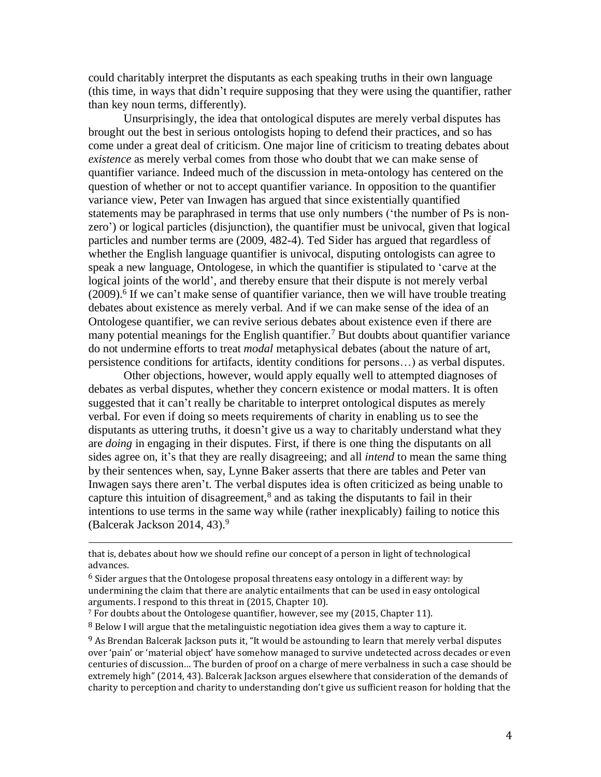could charitably interpret the disputants as each speaking truths in their own language (this time, in ways that didn't require supposing that they were using the quantifier, rather than key noun terms, differently).

Unsurprisingly, the idea that ontological disputes are merely verbal disputes has brought out the best in serious ontologists hoping to defend their practices, and so has come under a great deal of criticism. One major line of criticism to treating debates about *existence* as merely verbal comes from those who doubt that we can make sense of quantifier variance. Indeed much of the discussion in meta-ontology has centered on the question of whether or not to accept quantifier variance. In opposition to the quantifier variance view, Peter van Inwagen has argued that since existentially quantified statements may be paraphrased in terms that use only numbers ('the number of Ps is nonzero') or logical particles (disjunction), the quantifier must be univocal, given that logical particles and number terms are (2009, 482-4). Ted Sider has argued that regardless of whether the English language quantifier is univocal, disputing ontologists can agree to speak a new language, Ontologese, in which the quantifier is stipulated to 'carve at the logical joints of the world', and thereby ensure that their dispute is not merely verbal (2009).<sup>6</sup> If we can't make sense of quantifier variance, then we will have trouble treating debates about existence as merely verbal. And if we can make sense of the idea of an Ontologese quantifier, we can revive serious debates about existence even if there are many potential meanings for the English quantifier.<sup>7</sup> But doubts about quantifier variance do not undermine efforts to treat *modal* metaphysical debates (about the nature of art, persistence conditions for artifacts, identity conditions for persons…) as verbal disputes.

Other objections, however, would apply equally well to attempted diagnoses of debates as verbal disputes, whether they concern existence or modal matters. It is often suggested that it can't really be charitable to interpret ontological disputes as merely verbal. For even if doing so meets requirements of charity in enabling us to see the disputants as uttering truths, it doesn't give us a way to charitably understand what they are *doing* in engaging in their disputes. First, if there is one thing the disputants on all sides agree on, it's that they are really disagreeing; and all *intend* to mean the same thing by their sentences when, say, Lynne Baker asserts that there are tables and Peter van Inwagen says there aren't. The verbal disputes idea is often criticized as being unable to capture this intuition of disagreement, $<sup>8</sup>$  and as taking the disputants to fail in their</sup> intentions to use terms in the same way while (rather inexplicably) failing to notice this (Balcerak Jackson 2014, 43).<sup>9</sup>

 $\overline{a}$ 

 $8$  Below I will argue that the metalinguistic negotiation idea gives them a way to capture it.

that is, debates about how we should refine our concept of a person in light of technological advances.

 $6$  Sider argues that the Ontologese proposal threatens easy ontology in a different way: by undermining the claim that there are analytic entailments that can be used in easy ontological arguments. I respond to this threat in (2015, Chapter 10).

 $<sup>7</sup>$  For doubts about the Ontologese quantifier, however, see my (2015, Chapter 11).</sup>

 $9$  As Brendan Balcerak Jackson puts it, "It would be astounding to learn that merely verbal disputes over 'pain' or 'material object' have somehow managed to survive undetected across decades or even centuries of discussion… The burden of proof on a charge of mere verbalness in such a case should be extremely high" (2014, 43). Balcerak Jackson argues elsewhere that consideration of the demands of charity to perception and charity to understanding don't give us sufficient reason for holding that the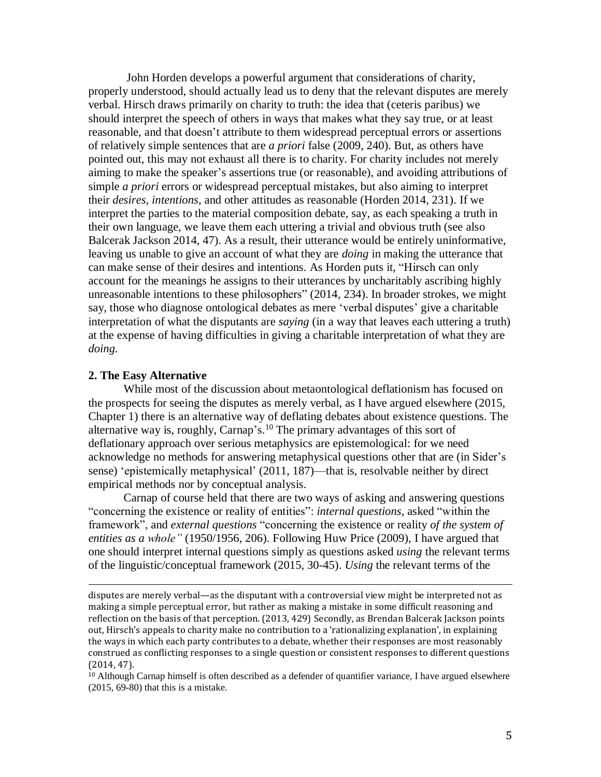John Horden develops a powerful argument that considerations of charity, properly understood, should actually lead us to deny that the relevant disputes are merely verbal. Hirsch draws primarily on charity to truth: the idea that (ceteris paribus) we should interpret the speech of others in ways that makes what they say true, or at least reasonable, and that doesn't attribute to them widespread perceptual errors or assertions of relatively simple sentences that are *a priori* false (2009, 240). But, as others have pointed out, this may not exhaust all there is to charity. For charity includes not merely aiming to make the speaker's assertions true (or reasonable), and avoiding attributions of simple *a priori* errors or widespread perceptual mistakes, but also aiming to interpret their *desires, intentions,* and other attitudes as reasonable (Horden 2014, 231). If we interpret the parties to the material composition debate, say, as each speaking a truth in their own language, we leave them each uttering a trivial and obvious truth (see also Balcerak Jackson 2014, 47). As a result, their utterance would be entirely uninformative, leaving us unable to give an account of what they are *doing* in making the utterance that can make sense of their desires and intentions. As Horden puts it, "Hirsch can only account for the meanings he assigns to their utterances by uncharitably ascribing highly unreasonable intentions to these philosophers" (2014, 234). In broader strokes, we might say, those who diagnose ontological debates as mere 'verbal disputes' give a charitable interpretation of what the disputants are *saying* (in a way that leaves each uttering a truth) at the expense of having difficulties in giving a charitable interpretation of what they are *doing.*

### **2. The Easy Alternative**

 $\overline{a}$ 

While most of the discussion about metaontological deflationism has focused on the prospects for seeing the disputes as merely verbal, as I have argued elsewhere (2015, Chapter 1) there is an alternative way of deflating debates about existence questions. The alternative way is, roughly, Carnap's.<sup>10</sup> The primary advantages of this sort of deflationary approach over serious metaphysics are epistemological: for we need acknowledge no methods for answering metaphysical questions other that are (in Sider's sense) 'epistemically metaphysical' (2011, 187)—that is, resolvable neither by direct empirical methods nor by conceptual analysis.

Carnap of course held that there are two ways of asking and answering questions "concerning the existence or reality of entities": *internal questions,* asked "within the framework", and *external questions* "concerning the existence or reality *of the system of entities as a whole"* (1950/1956, 206). Following Huw Price (2009), I have argued that one should interpret internal questions simply as questions asked *using* the relevant terms of the linguistic/conceptual framework (2015, 30-45). *Using* the relevant terms of the

disputes are merely verbal—as the disputant with a controversial view might be interpreted not as making a simple perceptual error, but rather as making a mistake in some difficult reasoning and reflection on the basis of that perception. (2013, 429) Secondly, as Brendan Balcerak Jackson points out, Hirsch's appeals to charity make no contribution to a 'rationalizing explanation', in explaining the ways in which each party contributes to a debate, whether their responses are most reasonably construed as conflicting responses to a single question or consistent responses to different questions (2014, 47).

<sup>10</sup> Although Carnap himself is often described as a defender of quantifier variance, I have argued elsewhere (2015, 69-80) that this is a mistake.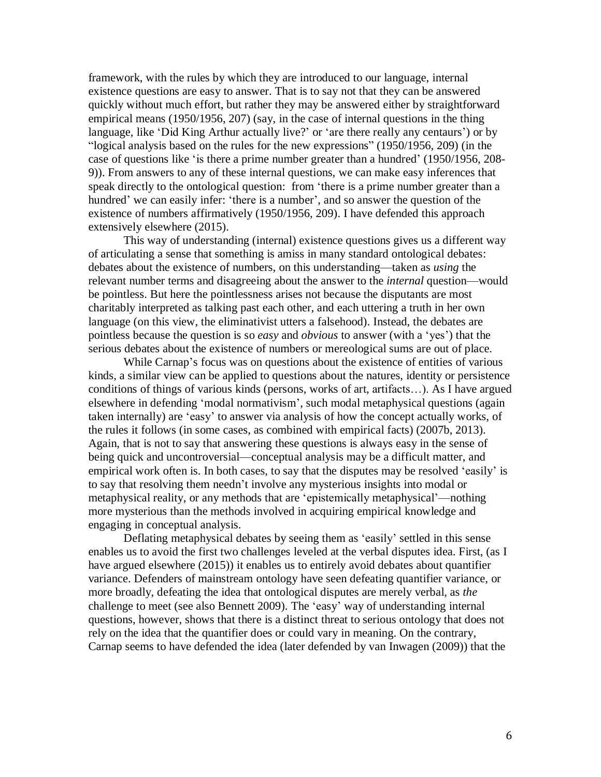framework, with the rules by which they are introduced to our language, internal existence questions are easy to answer. That is to say not that they can be answered quickly without much effort, but rather they may be answered either by straightforward empirical means (1950/1956, 207) (say, in the case of internal questions in the thing language, like 'Did King Arthur actually live?' or 'are there really any centaurs') or by "logical analysis based on the rules for the new expressions" (1950/1956, 209) (in the case of questions like 'is there a prime number greater than a hundred' (1950/1956, 208- 9)). From answers to any of these internal questions, we can make easy inferences that speak directly to the ontological question: from 'there is a prime number greater than a hundred' we can easily infer: 'there is a number', and so answer the question of the existence of numbers affirmatively (1950/1956, 209). I have defended this approach extensively elsewhere (2015).

This way of understanding (internal) existence questions gives us a different way of articulating a sense that something is amiss in many standard ontological debates: debates about the existence of numbers, on this understanding—taken as *using* the relevant number terms and disagreeing about the answer to the *internal* question—would be pointless. But here the pointlessness arises not because the disputants are most charitably interpreted as talking past each other, and each uttering a truth in her own language (on this view, the eliminativist utters a falsehood). Instead, the debates are pointless because the question is so *easy* and *obvious* to answer (with a 'yes') that the serious debates about the existence of numbers or mereological sums are out of place.

While Carnap's focus was on questions about the existence of entities of various kinds, a similar view can be applied to questions about the natures, identity or persistence conditions of things of various kinds (persons, works of art, artifacts…). As I have argued elsewhere in defending 'modal normativism', such modal metaphysical questions (again taken internally) are 'easy' to answer via analysis of how the concept actually works, of the rules it follows (in some cases, as combined with empirical facts) (2007b, 2013). Again, that is not to say that answering these questions is always easy in the sense of being quick and uncontroversial—conceptual analysis may be a difficult matter, and empirical work often is. In both cases, to say that the disputes may be resolved 'easily' is to say that resolving them needn't involve any mysterious insights into modal or metaphysical reality, or any methods that are 'epistemically metaphysical'—nothing more mysterious than the methods involved in acquiring empirical knowledge and engaging in conceptual analysis.

Deflating metaphysical debates by seeing them as 'easily' settled in this sense enables us to avoid the first two challenges leveled at the verbal disputes idea. First, (as I have argued elsewhere (2015)) it enables us to entirely avoid debates about quantifier variance. Defenders of mainstream ontology have seen defeating quantifier variance, or more broadly, defeating the idea that ontological disputes are merely verbal, as *the* challenge to meet (see also Bennett 2009). The 'easy' way of understanding internal questions, however, shows that there is a distinct threat to serious ontology that does not rely on the idea that the quantifier does or could vary in meaning. On the contrary, Carnap seems to have defended the idea (later defended by van Inwagen (2009)) that the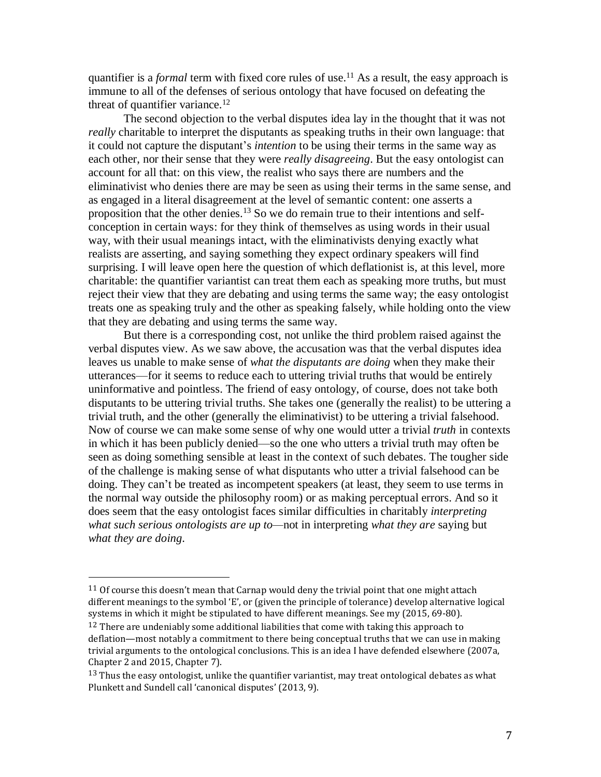quantifier is a *formal* term with fixed core rules of use.<sup>11</sup> As a result, the easy approach is immune to all of the defenses of serious ontology that have focused on defeating the threat of quantifier variance.<sup>12</sup>

The second objection to the verbal disputes idea lay in the thought that it was not *really* charitable to interpret the disputants as speaking truths in their own language: that it could not capture the disputant's *intention* to be using their terms in the same way as each other, nor their sense that they were *really disagreeing*. But the easy ontologist can account for all that: on this view, the realist who says there are numbers and the eliminativist who denies there are may be seen as using their terms in the same sense, and as engaged in a literal disagreement at the level of semantic content: one asserts a proposition that the other denies.<sup>13</sup> So we do remain true to their intentions and selfconception in certain ways: for they think of themselves as using words in their usual way, with their usual meanings intact, with the eliminativists denying exactly what realists are asserting, and saying something they expect ordinary speakers will find surprising. I will leave open here the question of which deflationist is, at this level, more charitable: the quantifier variantist can treat them each as speaking more truths, but must reject their view that they are debating and using terms the same way; the easy ontologist treats one as speaking truly and the other as speaking falsely, while holding onto the view that they are debating and using terms the same way.

But there is a corresponding cost, not unlike the third problem raised against the verbal disputes view. As we saw above, the accusation was that the verbal disputes idea leaves us unable to make sense of *what the disputants are doing* when they make their utterances—for it seems to reduce each to uttering trivial truths that would be entirely uninformative and pointless. The friend of easy ontology, of course, does not take both disputants to be uttering trivial truths. She takes one (generally the realist) to be uttering a trivial truth, and the other (generally the eliminativist) to be uttering a trivial falsehood. Now of course we can make some sense of why one would utter a trivial *truth* in contexts in which it has been publicly denied—so the one who utters a trivial truth may often be seen as doing something sensible at least in the context of such debates. The tougher side of the challenge is making sense of what disputants who utter a trivial falsehood can be doing. They can't be treated as incompetent speakers (at least, they seem to use terms in the normal way outside the philosophy room) or as making perceptual errors. And so it does seem that the easy ontologist faces similar difficulties in charitably *interpreting what such serious ontologists are up to—*not in interpreting *what they are* saying but *what they are doing*.

 $11$  Of course this doesn't mean that Carnap would deny the trivial point that one might attach different meanings to the symbol 'E', or (given the principle of tolerance) develop alternative logical systems in which it might be stipulated to have different meanings. See my (2015, 69-80).

 $12$  There are undeniably some additional liabilities that come with taking this approach to deflation—most notably a commitment to there being conceptual truths that we can use in making trivial arguments to the ontological conclusions. This is an idea I have defended elsewhere (2007a, Chapter 2 and 2015, Chapter 7).

 $13$  Thus the easy ontologist, unlike the quantifier variantist, may treat ontological debates as what Plunkett and Sundell call 'canonical disputes' (2013, 9).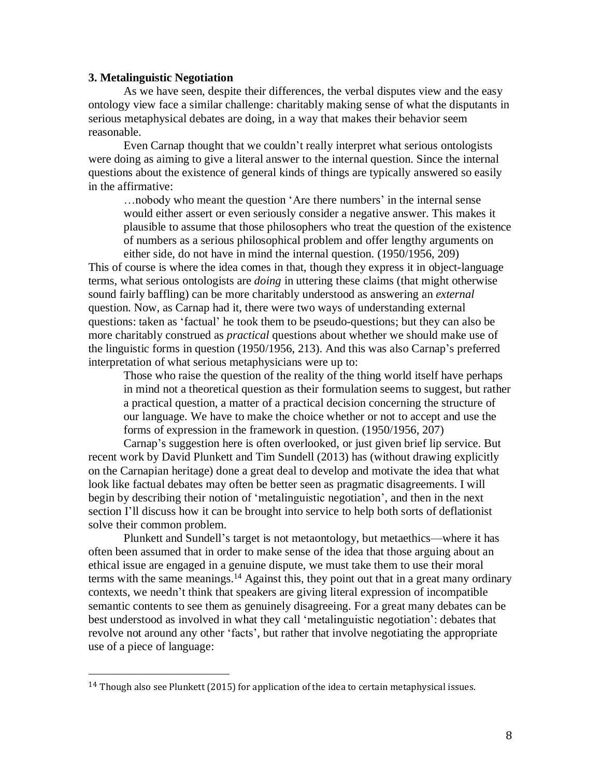#### **3. Metalinguistic Negotiation**

 $\overline{a}$ 

As we have seen, despite their differences, the verbal disputes view and the easy ontology view face a similar challenge: charitably making sense of what the disputants in serious metaphysical debates are doing, in a way that makes their behavior seem reasonable.

Even Carnap thought that we couldn't really interpret what serious ontologists were doing as aiming to give a literal answer to the internal question. Since the internal questions about the existence of general kinds of things are typically answered so easily in the affirmative:

…nobody who meant the question 'Are there numbers' in the internal sense would either assert or even seriously consider a negative answer. This makes it plausible to assume that those philosophers who treat the question of the existence of numbers as a serious philosophical problem and offer lengthy arguments on either side, do not have in mind the internal question. (1950/1956, 209)

This of course is where the idea comes in that, though they express it in object-language terms, what serious ontologists are *doing* in uttering these claims (that might otherwise sound fairly baffling) can be more charitably understood as answering an *external* question. Now, as Carnap had it, there were two ways of understanding external questions: taken as 'factual' he took them to be pseudo-questions; but they can also be more charitably construed as *practical* questions about whether we should make use of the linguistic forms in question (1950/1956, 213). And this was also Carnap's preferred interpretation of what serious metaphysicians were up to:

Those who raise the question of the reality of the thing world itself have perhaps in mind not a theoretical question as their formulation seems to suggest, but rather a practical question, a matter of a practical decision concerning the structure of our language. We have to make the choice whether or not to accept and use the forms of expression in the framework in question. (1950/1956, 207)

Carnap's suggestion here is often overlooked, or just given brief lip service. But recent work by David Plunkett and Tim Sundell (2013) has (without drawing explicitly on the Carnapian heritage) done a great deal to develop and motivate the idea that what look like factual debates may often be better seen as pragmatic disagreements. I will begin by describing their notion of 'metalinguistic negotiation', and then in the next section I'll discuss how it can be brought into service to help both sorts of deflationist solve their common problem.

Plunkett and Sundell's target is not metaontology, but metaethics—where it has often been assumed that in order to make sense of the idea that those arguing about an ethical issue are engaged in a genuine dispute, we must take them to use their moral terms with the same meanings.<sup>14</sup> Against this, they point out that in a great many ordinary contexts, we needn't think that speakers are giving literal expression of incompatible semantic contents to see them as genuinely disagreeing. For a great many debates can be best understood as involved in what they call 'metalinguistic negotiation': debates that revolve not around any other 'facts', but rather that involve negotiating the appropriate use of a piece of language:

 $14$  Though also see Plunkett (2015) for application of the idea to certain metaphysical issues.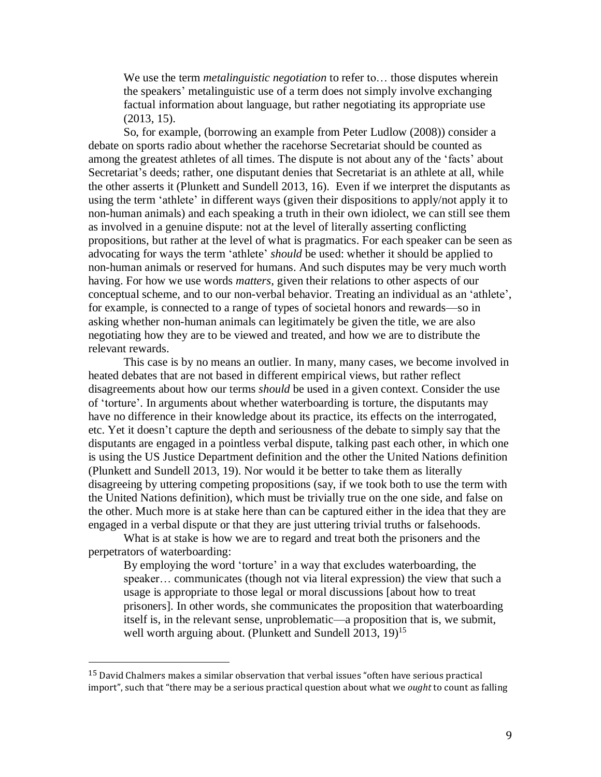We use the term *metalinguistic negotiation* to refer to… those disputes wherein the speakers' metalinguistic use of a term does not simply involve exchanging factual information about language, but rather negotiating its appropriate use (2013, 15).

So, for example, (borrowing an example from Peter Ludlow (2008)) consider a debate on sports radio about whether the racehorse Secretariat should be counted as among the greatest athletes of all times. The dispute is not about any of the 'facts' about Secretariat's deeds; rather, one disputant denies that Secretariat is an athlete at all, while the other asserts it (Plunkett and Sundell 2013, 16). Even if we interpret the disputants as using the term 'athlete' in different ways (given their dispositions to apply/not apply it to non-human animals) and each speaking a truth in their own idiolect, we can still see them as involved in a genuine dispute: not at the level of literally asserting conflicting propositions, but rather at the level of what is pragmatics. For each speaker can be seen as advocating for ways the term 'athlete' *should* be used: whether it should be applied to non-human animals or reserved for humans. And such disputes may be very much worth having. For how we use words *matters,* given their relations to other aspects of our conceptual scheme, and to our non-verbal behavior. Treating an individual as an 'athlete', for example, is connected to a range of types of societal honors and rewards—so in asking whether non-human animals can legitimately be given the title, we are also negotiating how they are to be viewed and treated, and how we are to distribute the relevant rewards.

This case is by no means an outlier. In many, many cases, we become involved in heated debates that are not based in different empirical views, but rather reflect disagreements about how our terms *should* be used in a given context. Consider the use of 'torture'. In arguments about whether waterboarding is torture, the disputants may have no difference in their knowledge about its practice, its effects on the interrogated, etc. Yet it doesn't capture the depth and seriousness of the debate to simply say that the disputants are engaged in a pointless verbal dispute, talking past each other, in which one is using the US Justice Department definition and the other the United Nations definition (Plunkett and Sundell 2013, 19). Nor would it be better to take them as literally disagreeing by uttering competing propositions (say, if we took both to use the term with the United Nations definition), which must be trivially true on the one side, and false on the other. Much more is at stake here than can be captured either in the idea that they are engaged in a verbal dispute or that they are just uttering trivial truths or falsehoods.

What is at stake is how we are to regard and treat both the prisoners and the perpetrators of waterboarding:

By employing the word 'torture' in a way that excludes waterboarding, the speaker… communicates (though not via literal expression) the view that such a usage is appropriate to those legal or moral discussions [about how to treat prisoners]. In other words, she communicates the proposition that waterboarding itself is, in the relevant sense, unproblematic—a proposition that is, we submit, well worth arguing about. (Plunkett and Sundell 2013, 19)<sup>15</sup>

<sup>&</sup>lt;sup>15</sup> David Chalmers makes a similar observation that verbal issues "often have serious practical" import", such that "there may be a serious practical question about what we *ought* to count as falling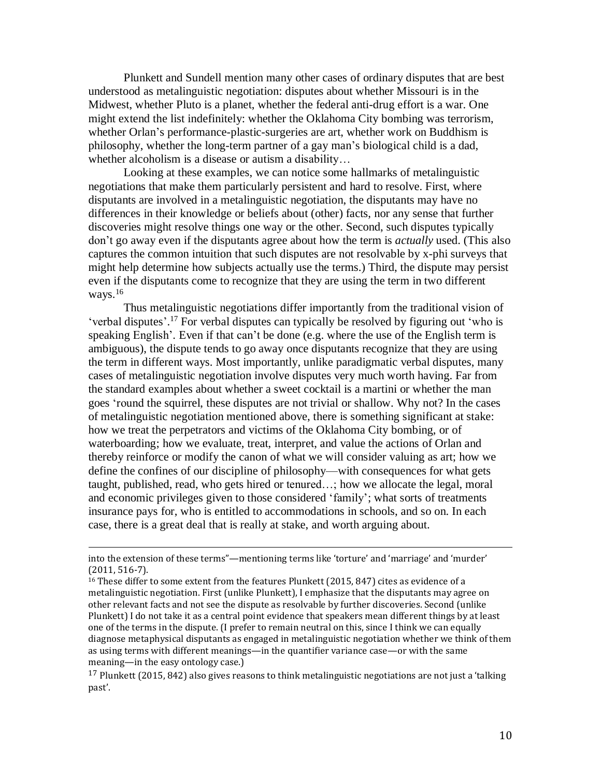Plunkett and Sundell mention many other cases of ordinary disputes that are best understood as metalinguistic negotiation: disputes about whether Missouri is in the Midwest, whether Pluto is a planet, whether the federal anti-drug effort is a war. One might extend the list indefinitely: whether the Oklahoma City bombing was terrorism, whether Orlan's performance-plastic-surgeries are art, whether work on Buddhism is philosophy, whether the long-term partner of a gay man's biological child is a dad, whether alcoholism is a disease or autism a disability…

Looking at these examples, we can notice some hallmarks of metalinguistic negotiations that make them particularly persistent and hard to resolve. First, where disputants are involved in a metalinguistic negotiation, the disputants may have no differences in their knowledge or beliefs about (other) facts, nor any sense that further discoveries might resolve things one way or the other. Second, such disputes typically don't go away even if the disputants agree about how the term is *actually* used. (This also captures the common intuition that such disputes are not resolvable by x-phi surveys that might help determine how subjects actually use the terms.) Third, the dispute may persist even if the disputants come to recognize that they are using the term in two different ways. 16

Thus metalinguistic negotiations differ importantly from the traditional vision of 'verbal disputes'. <sup>17</sup> For verbal disputes can typically be resolved by figuring out 'who is speaking English'. Even if that can't be done (e.g. where the use of the English term is ambiguous), the dispute tends to go away once disputants recognize that they are using the term in different ways. Most importantly, unlike paradigmatic verbal disputes, many cases of metalinguistic negotiation involve disputes very much worth having. Far from the standard examples about whether a sweet cocktail is a martini or whether the man goes 'round the squirrel, these disputes are not trivial or shallow. Why not? In the cases of metalinguistic negotiation mentioned above, there is something significant at stake: how we treat the perpetrators and victims of the Oklahoma City bombing, or of waterboarding; how we evaluate, treat, interpret, and value the actions of Orlan and thereby reinforce or modify the canon of what we will consider valuing as art; how we define the confines of our discipline of philosophy—with consequences for what gets taught, published, read, who gets hired or tenured…; how we allocate the legal, moral and economic privileges given to those considered 'family'; what sorts of treatments insurance pays for, who is entitled to accommodations in schools, and so on. In each case, there is a great deal that is really at stake, and worth arguing about.

into the extension of these terms"—mentioning terms like 'torture' and 'marriage' and 'murder' (2011, 516-7).

<sup>&</sup>lt;sup>16</sup> These differ to some extent from the features Plunkett (2015, 847) cites as evidence of a metalinguistic negotiation. First (unlike Plunkett), I emphasize that the disputants may agree on other relevant facts and not see the dispute as resolvable by further discoveries. Second (unlike Plunkett) I do not take it as a central point evidence that speakers mean different things by at least one of the terms in the dispute. (I prefer to remain neutral on this, since I think we can equally diagnose metaphysical disputants as engaged in metalinguistic negotiation whether we think of them as using terms with different meanings—in the quantifier variance case—or with the same meaning—in the easy ontology case.)

<sup>17</sup> Plunkett (2015, 842) also gives reasons to think metalinguistic negotiations are not just a 'talking past'.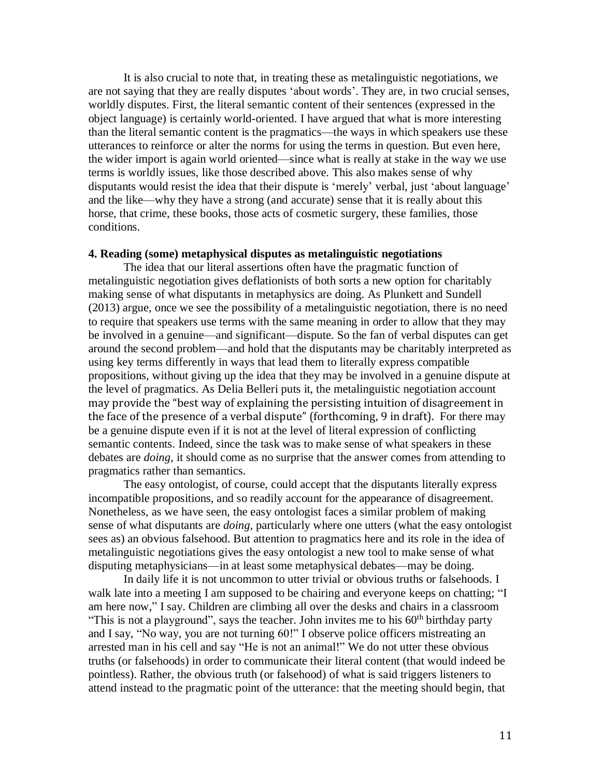It is also crucial to note that, in treating these as metalinguistic negotiations, we are not saying that they are really disputes 'about words'. They are, in two crucial senses, worldly disputes. First, the literal semantic content of their sentences (expressed in the object language) is certainly world-oriented. I have argued that what is more interesting than the literal semantic content is the pragmatics—the ways in which speakers use these utterances to reinforce or alter the norms for using the terms in question. But even here, the wider import is again world oriented—since what is really at stake in the way we use terms is worldly issues, like those described above. This also makes sense of why disputants would resist the idea that their dispute is 'merely' verbal, just 'about language' and the like—why they have a strong (and accurate) sense that it is really about this horse, that crime, these books, those acts of cosmetic surgery, these families, those conditions.

### **4. Reading (some) metaphysical disputes as metalinguistic negotiations**

The idea that our literal assertions often have the pragmatic function of metalinguistic negotiation gives deflationists of both sorts a new option for charitably making sense of what disputants in metaphysics are doing. As Plunkett and Sundell (2013) argue, once we see the possibility of a metalinguistic negotiation, there is no need to require that speakers use terms with the same meaning in order to allow that they may be involved in a genuine—and significant—dispute. So the fan of verbal disputes can get around the second problem—and hold that the disputants may be charitably interpreted as using key terms differently in ways that lead them to literally express compatible propositions, without giving up the idea that they may be involved in a genuine dispute at the level of pragmatics. As Delia Belleri puts it, the metalinguistic negotiation account may provide the "best way of explaining the persisting intuition of disagreement in the face of the presence of a verbal dispute" (forthcoming, 9 in draft). For there may be a genuine dispute even if it is not at the level of literal expression of conflicting semantic contents. Indeed, since the task was to make sense of what speakers in these debates are *doing,* it should come as no surprise that the answer comes from attending to pragmatics rather than semantics.

The easy ontologist, of course, could accept that the disputants literally express incompatible propositions, and so readily account for the appearance of disagreement. Nonetheless, as we have seen, the easy ontologist faces a similar problem of making sense of what disputants are *doing,* particularly where one utters (what the easy ontologist sees as) an obvious falsehood. But attention to pragmatics here and its role in the idea of metalinguistic negotiations gives the easy ontologist a new tool to make sense of what disputing metaphysicians—in at least some metaphysical debates—may be doing.

In daily life it is not uncommon to utter trivial or obvious truths or falsehoods. I walk late into a meeting I am supposed to be chairing and everyone keeps on chatting; "I am here now," I say. Children are climbing all over the desks and chairs in a classroom "This is not a playground", says the teacher. John invites me to his  $60<sup>th</sup>$  birthday party and I say, "No way, you are not turning 60!" I observe police officers mistreating an arrested man in his cell and say "He is not an animal!" We do not utter these obvious truths (or falsehoods) in order to communicate their literal content (that would indeed be pointless). Rather, the obvious truth (or falsehood) of what is said triggers listeners to attend instead to the pragmatic point of the utterance: that the meeting should begin, that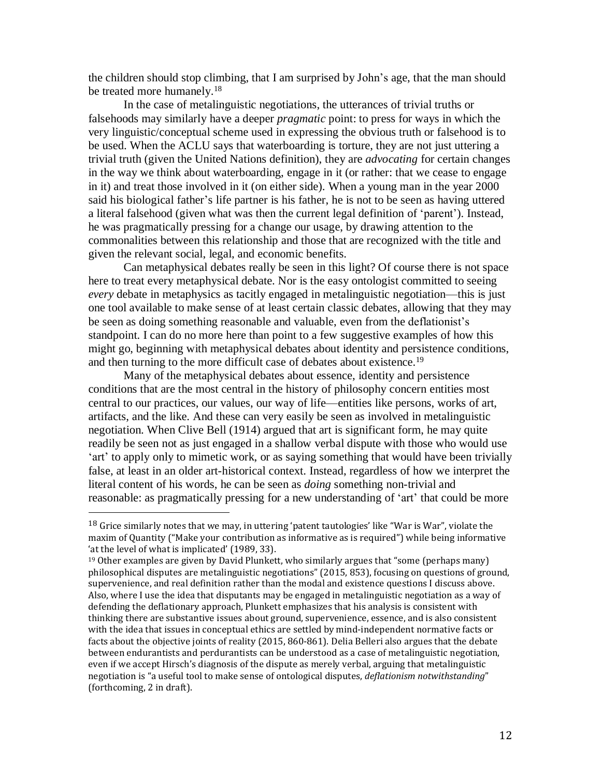the children should stop climbing, that I am surprised by John's age, that the man should be treated more humanely.<sup>18</sup>

In the case of metalinguistic negotiations, the utterances of trivial truths or falsehoods may similarly have a deeper *pragmatic* point: to press for ways in which the very linguistic/conceptual scheme used in expressing the obvious truth or falsehood is to be used. When the ACLU says that waterboarding is torture, they are not just uttering a trivial truth (given the United Nations definition), they are *advocating* for certain changes in the way we think about waterboarding, engage in it (or rather: that we cease to engage in it) and treat those involved in it (on either side). When a young man in the year 2000 said his biological father's life partner is his father, he is not to be seen as having uttered a literal falsehood (given what was then the current legal definition of 'parent'). Instead, he was pragmatically pressing for a change our usage, by drawing attention to the commonalities between this relationship and those that are recognized with the title and given the relevant social, legal, and economic benefits.

Can metaphysical debates really be seen in this light? Of course there is not space here to treat every metaphysical debate. Nor is the easy ontologist committed to seeing *every* debate in metaphysics as tacitly engaged in metalinguistic negotiation—this is just one tool available to make sense of at least certain classic debates, allowing that they may be seen as doing something reasonable and valuable, even from the deflationist's standpoint. I can do no more here than point to a few suggestive examples of how this might go, beginning with metaphysical debates about identity and persistence conditions, and then turning to the more difficult case of debates about existence.<sup>19</sup>

Many of the metaphysical debates about essence, identity and persistence conditions that are the most central in the history of philosophy concern entities most central to our practices, our values, our way of life—entities like persons, works of art, artifacts, and the like. And these can very easily be seen as involved in metalinguistic negotiation. When Clive Bell (1914) argued that art is significant form, he may quite readily be seen not as just engaged in a shallow verbal dispute with those who would use 'art' to apply only to mimetic work, or as saying something that would have been trivially false, at least in an older art-historical context. Instead, regardless of how we interpret the literal content of his words, he can be seen as *doing* something non-trivial and reasonable: as pragmatically pressing for a new understanding of 'art' that could be more

<sup>&</sup>lt;sup>18</sup> Grice similarly notes that we may, in uttering 'patent tautologies' like "War is War", violate the maxim of Quantity ("Make your contribution as informative as is required") while being informative 'at the level of what is implicated' (1989, 33).

 $19$  Other examples are given by David Plunkett, who similarly argues that "some (perhaps many) philosophical disputes are metalinguistic negotiations" (2015, 853), focusing on questions of ground, supervenience, and real definition rather than the modal and existence questions I discuss above. Also, where I use the idea that disputants may be engaged in metalinguistic negotiation as a way of defending the deflationary approach, Plunkett emphasizes that his analysis is consistent with thinking there are substantive issues about ground, supervenience, essence, and is also consistent with the idea that issues in conceptual ethics are settled by mind-independent normative facts or facts about the objective joints of reality (2015, 860-861). Delia Belleri also argues that the debate between endurantists and perdurantists can be understood as a case of metalinguistic negotiation, even if we accept Hirsch's diagnosis of the dispute as merely verbal, arguing that metalinguistic negotiation is "a useful tool to make sense of ontological disputes, *deflationism notwithstanding*" (forthcoming, 2 in draft).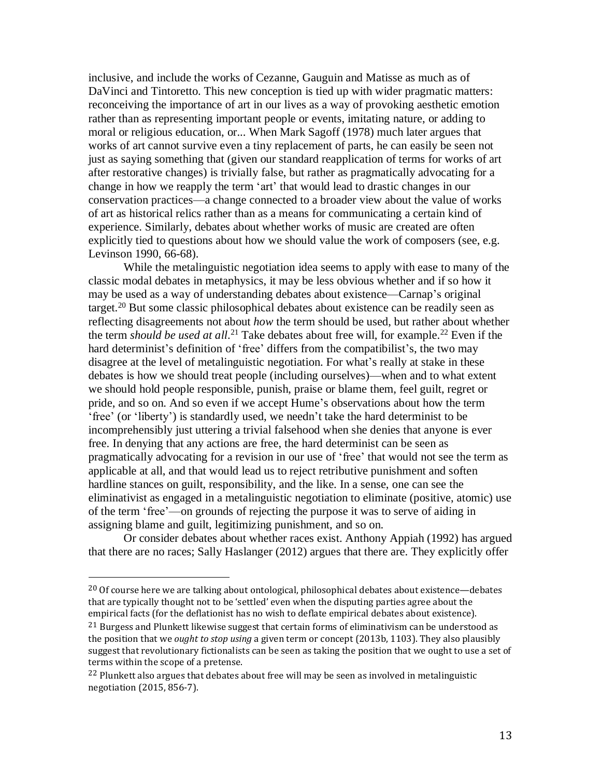inclusive, and include the works of Cezanne, Gauguin and Matisse as much as of DaVinci and Tintoretto. This new conception is tied up with wider pragmatic matters: reconceiving the importance of art in our lives as a way of provoking aesthetic emotion rather than as representing important people or events, imitating nature, or adding to moral or religious education, or... When Mark Sagoff (1978) much later argues that works of art cannot survive even a tiny replacement of parts, he can easily be seen not just as saying something that (given our standard reapplication of terms for works of art after restorative changes) is trivially false, but rather as pragmatically advocating for a change in how we reapply the term 'art' that would lead to drastic changes in our conservation practices—a change connected to a broader view about the value of works of art as historical relics rather than as a means for communicating a certain kind of experience. Similarly, debates about whether works of music are created are often explicitly tied to questions about how we should value the work of composers (see, e.g. Levinson 1990, 66-68).

While the metalinguistic negotiation idea seems to apply with ease to many of the classic modal debates in metaphysics, it may be less obvious whether and if so how it may be used as a way of understanding debates about existence—Carnap's original target.<sup>20</sup> But some classic philosophical debates about existence can be readily seen as reflecting disagreements not about *how* the term should be used, but rather about whether the term *should be used at all*. <sup>21</sup> Take debates about free will, for example.<sup>22</sup> Even if the hard determinist's definition of 'free' differs from the compatibilist's, the two may disagree at the level of metalinguistic negotiation. For what's really at stake in these debates is how we should treat people (including ourselves)—when and to what extent we should hold people responsible, punish, praise or blame them, feel guilt, regret or pride, and so on. And so even if we accept Hume's observations about how the term 'free' (or 'liberty') is standardly used, we needn't take the hard determinist to be incomprehensibly just uttering a trivial falsehood when she denies that anyone is ever free. In denying that any actions are free, the hard determinist can be seen as pragmatically advocating for a revision in our use of 'free' that would not see the term as applicable at all, and that would lead us to reject retributive punishment and soften hardline stances on guilt, responsibility, and the like. In a sense, one can see the eliminativist as engaged in a metalinguistic negotiation to eliminate (positive, atomic) use of the term 'free'—on grounds of rejecting the purpose it was to serve of aiding in assigning blame and guilt, legitimizing punishment, and so on.

Or consider debates about whether races exist. Anthony Appiah (1992) has argued that there are no races; Sally Haslanger (2012) argues that there are. They explicitly offer

 $20$  Of course here we are talking about ontological, philosophical debates about existence—debates that are typically thought not to be 'settled' even when the disputing parties agree about the empirical facts (for the deflationist has no wish to deflate empirical debates about existence).

 $21$  Burgess and Plunkett likewise suggest that certain forms of eliminativism can be understood as the position that we *ought to stop using* a given term or concept (2013b, 1103). They also plausibly suggest that revolutionary fictionalists can be seen as taking the position that we ought to use a set of terms within the scope of a pretense.

<sup>&</sup>lt;sup>22</sup> Plunkett also argues that debates about free will may be seen as involved in metalinguistic negotiation (2015, 856-7).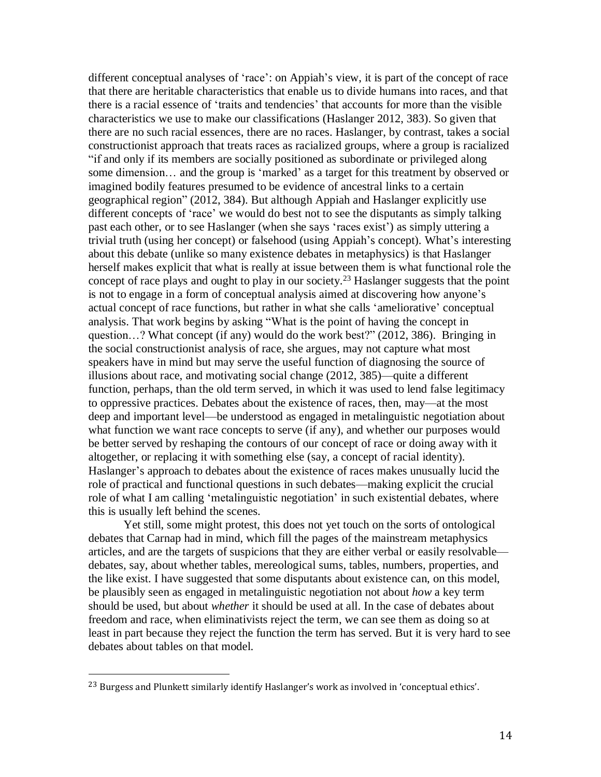different conceptual analyses of 'race': on Appiah's view, it is part of the concept of race that there are heritable characteristics that enable us to divide humans into races, and that there is a racial essence of 'traits and tendencies' that accounts for more than the visible characteristics we use to make our classifications (Haslanger 2012, 383). So given that there are no such racial essences, there are no races. Haslanger, by contrast, takes a social constructionist approach that treats races as racialized groups, where a group is racialized "if and only if its members are socially positioned as subordinate or privileged along some dimension… and the group is 'marked' as a target for this treatment by observed or imagined bodily features presumed to be evidence of ancestral links to a certain geographical region" (2012, 384). But although Appiah and Haslanger explicitly use different concepts of 'race' we would do best not to see the disputants as simply talking past each other, or to see Haslanger (when she says 'races exist') as simply uttering a trivial truth (using her concept) or falsehood (using Appiah's concept). What's interesting about this debate (unlike so many existence debates in metaphysics) is that Haslanger herself makes explicit that what is really at issue between them is what functional role the concept of race plays and ought to play in our society.<sup>23</sup> Haslanger suggests that the point is not to engage in a form of conceptual analysis aimed at discovering how anyone's actual concept of race functions, but rather in what she calls 'ameliorative' conceptual analysis. That work begins by asking "What is the point of having the concept in question…? What concept (if any) would do the work best?" (2012, 386). Bringing in the social constructionist analysis of race, she argues, may not capture what most speakers have in mind but may serve the useful function of diagnosing the source of illusions about race, and motivating social change (2012, 385)—quite a different function, perhaps, than the old term served, in which it was used to lend false legitimacy to oppressive practices. Debates about the existence of races, then, may—at the most deep and important level—be understood as engaged in metalinguistic negotiation about what function we want race concepts to serve (if any), and whether our purposes would be better served by reshaping the contours of our concept of race or doing away with it altogether, or replacing it with something else (say, a concept of racial identity). Haslanger's approach to debates about the existence of races makes unusually lucid the role of practical and functional questions in such debates—making explicit the crucial role of what I am calling 'metalinguistic negotiation' in such existential debates, where this is usually left behind the scenes.

Yet still, some might protest, this does not yet touch on the sorts of ontological debates that Carnap had in mind, which fill the pages of the mainstream metaphysics articles, and are the targets of suspicions that they are either verbal or easily resolvable debates, say, about whether tables, mereological sums, tables, numbers, properties, and the like exist. I have suggested that some disputants about existence can, on this model, be plausibly seen as engaged in metalinguistic negotiation not about *how* a key term should be used, but about *whether* it should be used at all. In the case of debates about freedom and race, when eliminativists reject the term, we can see them as doing so at least in part because they reject the function the term has served. But it is very hard to see debates about tables on that model.

<sup>&</sup>lt;sup>23</sup> Burgess and Plunkett similarly identify Haslanger's work as involved in 'conceptual ethics'.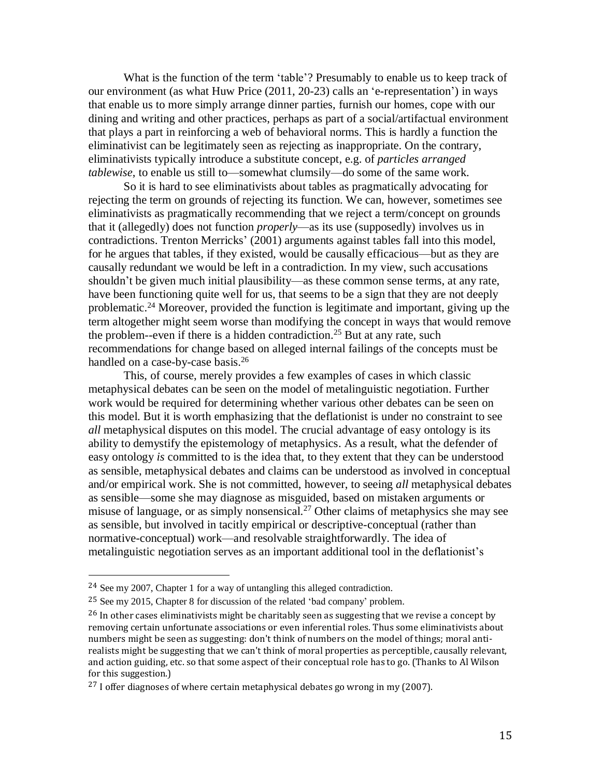What is the function of the term 'table'? Presumably to enable us to keep track of our environment (as what Huw Price (2011, 20-23) calls an 'e-representation') in ways that enable us to more simply arrange dinner parties, furnish our homes, cope with our dining and writing and other practices, perhaps as part of a social/artifactual environment that plays a part in reinforcing a web of behavioral norms. This is hardly a function the eliminativist can be legitimately seen as rejecting as inappropriate. On the contrary, eliminativists typically introduce a substitute concept, e.g. of *particles arranged tablewise*, to enable us still to—somewhat clumsily—do some of the same work.

So it is hard to see eliminativists about tables as pragmatically advocating for rejecting the term on grounds of rejecting its function. We can, however, sometimes see eliminativists as pragmatically recommending that we reject a term/concept on grounds that it (allegedly) does not function *properly*—as its use (supposedly) involves us in contradictions. Trenton Merricks' (2001) arguments against tables fall into this model, for he argues that tables, if they existed, would be causally efficacious—but as they are causally redundant we would be left in a contradiction. In my view, such accusations shouldn't be given much initial plausibility—as these common sense terms, at any rate, have been functioning quite well for us, that seems to be a sign that they are not deeply problematic. <sup>24</sup> Moreover, provided the function is legitimate and important, giving up the term altogether might seem worse than modifying the concept in ways that would remove the problem--even if there is a hidden contradiction. <sup>25</sup> But at any rate, such recommendations for change based on alleged internal failings of the concepts must be handled on a case-by-case basis.<sup>26</sup>

This, of course, merely provides a few examples of cases in which classic metaphysical debates can be seen on the model of metalinguistic negotiation. Further work would be required for determining whether various other debates can be seen on this model. But it is worth emphasizing that the deflationist is under no constraint to see *all* metaphysical disputes on this model. The crucial advantage of easy ontology is its ability to demystify the epistemology of metaphysics. As a result, what the defender of easy ontology *is* committed to is the idea that, to they extent that they can be understood as sensible, metaphysical debates and claims can be understood as involved in conceptual and/or empirical work. She is not committed, however, to seeing *all* metaphysical debates as sensible—some she may diagnose as misguided, based on mistaken arguments or misuse of language, or as simply nonsensical.<sup>27</sup> Other claims of metaphysics she may see as sensible, but involved in tacitly empirical or descriptive-conceptual (rather than normative-conceptual) work—and resolvable straightforwardly. The idea of metalinguistic negotiation serves as an important additional tool in the deflationist's

<sup>24</sup> See my 2007, Chapter 1 for a way of untangling this alleged contradiction.

<sup>25</sup> See my 2015, Chapter 8 for discussion of the related 'bad company' problem.

 $26$  In other cases eliminativists might be charitably seen as suggesting that we revise a concept by removing certain unfortunate associations or even inferential roles. Thus some eliminativists about numbers might be seen as suggesting: don't think of numbers on the model of things; moral antirealists might be suggesting that we can't think of moral properties as perceptible, causally relevant, and action guiding, etc. so that some aspect of their conceptual role has to go. (Thanks to Al Wilson for this suggestion.)

 $27$  I offer diagnoses of where certain metaphysical debates go wrong in my (2007).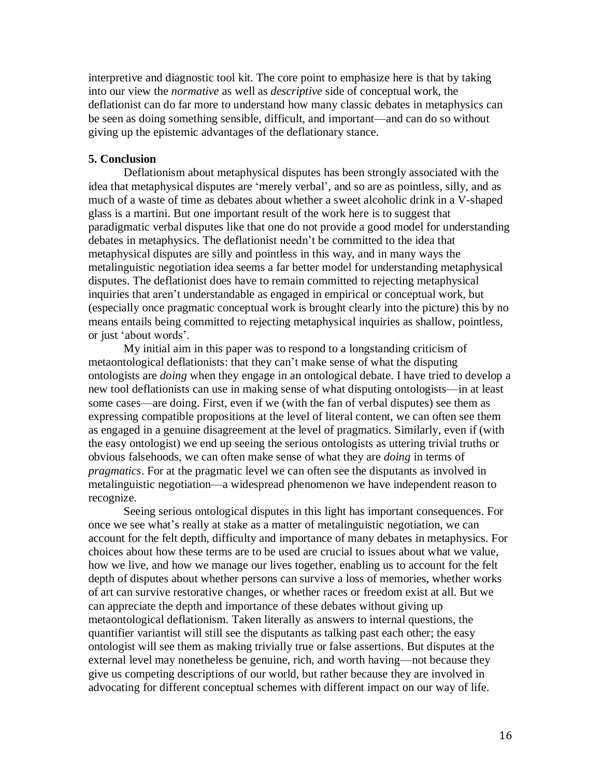interpretive and diagnostic tool kit. The core point to emphasize here is that by taking into our view the *normative* as well as *descriptive* side of conceptual work, the deflationist can do far more to understand how many classic debates in metaphysics can be seen as doing something sensible, difficult, and important—and can do so without giving up the epistemic advantages of the deflationary stance.

### **5. Conclusion**

Deflationism about metaphysical disputes has been strongly associated with the idea that metaphysical disputes are 'merely verbal', and so are as pointless, silly, and as much of a waste of time as debates about whether a sweet alcoholic drink in a V-shaped glass is a martini. But one important result of the work here is to suggest that paradigmatic verbal disputes like that one do not provide a good model for understanding debates in metaphysics. The deflationist needn't be committed to the idea that metaphysical disputes are silly and pointless in this way, and in many ways the metalinguistic negotiation idea seems a far better model for understanding metaphysical disputes. The deflationist does have to remain committed to rejecting metaphysical inquiries that aren't understandable as engaged in empirical or conceptual work, but (especially once pragmatic conceptual work is brought clearly into the picture) this by no means entails being committed to rejecting metaphysical inquiries as shallow, pointless, or just 'about words'.

My initial aim in this paper was to respond to a longstanding criticism of metaontological deflationists: that they can't make sense of what the disputing ontologists are *doing* when they engage in an ontological debate. I have tried to develop a new tool deflationists can use in making sense of what disputing ontologists—in at least some cases—are doing. First, even if we (with the fan of verbal disputes) see them as expressing compatible propositions at the level of literal content, we can often see them as engaged in a genuine disagreement at the level of pragmatics. Similarly, even if (with the easy ontologist) we end up seeing the serious ontologists as uttering trivial truths or obvious falsehoods, we can often make sense of what they are *doing* in terms of *pragmatics*. For at the pragmatic level we can often see the disputants as involved in metalinguistic negotiation—a widespread phenomenon we have independent reason to recognize.

Seeing serious ontological disputes in this light has important consequences. For once we see what's really at stake as a matter of metalinguistic negotiation, we can account for the felt depth, difficulty and importance of many debates in metaphysics. For choices about how these terms are to be used are crucial to issues about what we value, how we live, and how we manage our lives together, enabling us to account for the felt depth of disputes about whether persons can survive a loss of memories, whether works of art can survive restorative changes, or whether races or freedom exist at all. But we can appreciate the depth and importance of these debates without giving up metaontological deflationism. Taken literally as answers to internal questions, the quantifier variantist will still see the disputants as talking past each other; the easy ontologist will see them as making trivially true or false assertions. But disputes at the external level may nonetheless be genuine, rich, and worth having—not because they give us competing descriptions of our world, but rather because they are involved in advocating for different conceptual schemes with different impact on our way of life.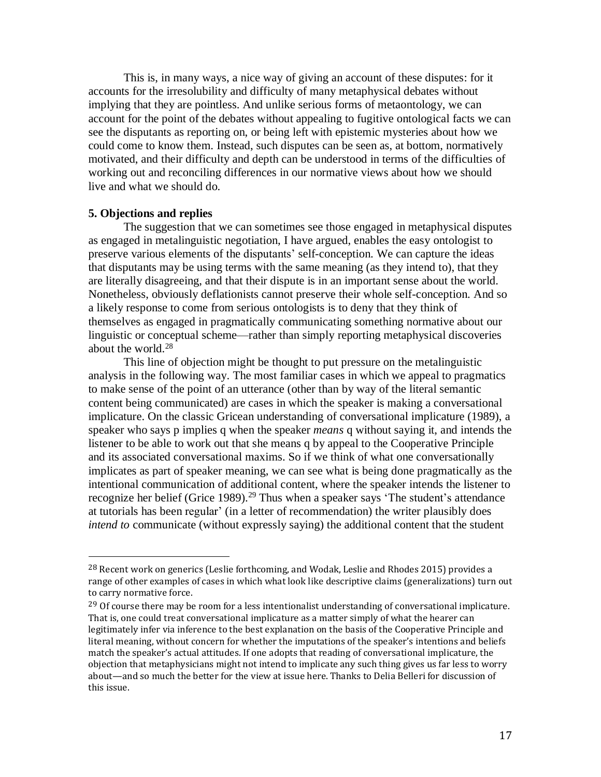This is, in many ways, a nice way of giving an account of these disputes: for it accounts for the irresolubility and difficulty of many metaphysical debates without implying that they are pointless. And unlike serious forms of metaontology, we can account for the point of the debates without appealing to fugitive ontological facts we can see the disputants as reporting on, or being left with epistemic mysteries about how we could come to know them. Instead, such disputes can be seen as, at bottom, normatively motivated, and their difficulty and depth can be understood in terms of the difficulties of working out and reconciling differences in our normative views about how we should live and what we should do.

### **5. Objections and replies**

 $\overline{a}$ 

The suggestion that we can sometimes see those engaged in metaphysical disputes as engaged in metalinguistic negotiation, I have argued, enables the easy ontologist to preserve various elements of the disputants' self-conception. We can capture the ideas that disputants may be using terms with the same meaning (as they intend to), that they are literally disagreeing, and that their dispute is in an important sense about the world. Nonetheless, obviously deflationists cannot preserve their whole self-conception. And so a likely response to come from serious ontologists is to deny that they think of themselves as engaged in pragmatically communicating something normative about our linguistic or conceptual scheme—rather than simply reporting metaphysical discoveries about the world.<sup>28</sup>

This line of objection might be thought to put pressure on the metalinguistic analysis in the following way. The most familiar cases in which we appeal to pragmatics to make sense of the point of an utterance (other than by way of the literal semantic content being communicated) are cases in which the speaker is making a conversational implicature. On the classic Gricean understanding of conversational implicature (1989), a speaker who says p implies q when the speaker *means* q without saying it, and intends the listener to be able to work out that she means q by appeal to the Cooperative Principle and its associated conversational maxims. So if we think of what one conversationally implicates as part of speaker meaning, we can see what is being done pragmatically as the intentional communication of additional content, where the speaker intends the listener to recognize her belief (Grice 1989).<sup>29</sup> Thus when a speaker says 'The student's attendance at tutorials has been regular' (in a letter of recommendation) the writer plausibly does *intend to* communicate (without expressly saying) the additional content that the student

 $^{28}$  Recent work on generics (Leslie forthcoming, and Wodak, Leslie and Rhodes 2015) provides a range of other examples of cases in which what look like descriptive claims (generalizations) turn out to carry normative force.

<sup>&</sup>lt;sup>29</sup> Of course there may be room for a less intentionalist understanding of conversational implicature. That is, one could treat conversational implicature as a matter simply of what the hearer can legitimately infer via inference to the best explanation on the basis of the Cooperative Principle and literal meaning, without concern for whether the imputations of the speaker's intentions and beliefs match the speaker's actual attitudes. If one adopts that reading of conversational implicature, the objection that metaphysicians might not intend to implicate any such thing gives us far less to worry about—and so much the better for the view at issue here. Thanks to Delia Belleri for discussion of this issue.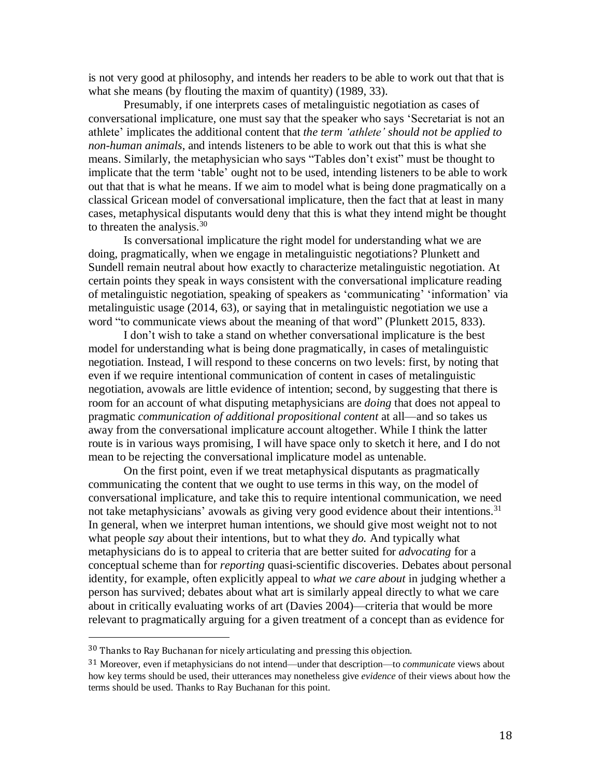is not very good at philosophy, and intends her readers to be able to work out that that is what she means (by flouting the maxim of quantity) (1989, 33).

Presumably, if one interprets cases of metalinguistic negotiation as cases of conversational implicature, one must say that the speaker who says 'Secretariat is not an athlete' implicates the additional content that *the term 'athlete' should not be applied to non-human animals*, and intends listeners to be able to work out that this is what she means. Similarly, the metaphysician who says "Tables don't exist" must be thought to implicate that the term 'table' ought not to be used, intending listeners to be able to work out that that is what he means. If we aim to model what is being done pragmatically on a classical Gricean model of conversational implicature, then the fact that at least in many cases, metaphysical disputants would deny that this is what they intend might be thought to threaten the analysis.<sup>30</sup>

Is conversational implicature the right model for understanding what we are doing, pragmatically, when we engage in metalinguistic negotiations? Plunkett and Sundell remain neutral about how exactly to characterize metalinguistic negotiation. At certain points they speak in ways consistent with the conversational implicature reading of metalinguistic negotiation, speaking of speakers as 'communicating' 'information' via metalinguistic usage (2014, 63), or saying that in metalinguistic negotiation we use a word "to communicate views about the meaning of that word" (Plunkett 2015, 833).

I don't wish to take a stand on whether conversational implicature is the best model for understanding what is being done pragmatically, in cases of metalinguistic negotiation. Instead, I will respond to these concerns on two levels: first, by noting that even if we require intentional communication of content in cases of metalinguistic negotiation, avowals are little evidence of intention; second, by suggesting that there is room for an account of what disputing metaphysicians are *doing* that does not appeal to pragmatic *communication of additional propositional content* at all—and so takes us away from the conversational implicature account altogether. While I think the latter route is in various ways promising, I will have space only to sketch it here, and I do not mean to be rejecting the conversational implicature model as untenable.

On the first point, even if we treat metaphysical disputants as pragmatically communicating the content that we ought to use terms in this way, on the model of conversational implicature, and take this to require intentional communication, we need not take metaphysicians' avowals as giving very good evidence about their intentions.<sup>31</sup> In general, when we interpret human intentions, we should give most weight not to not what people *say* about their intentions, but to what they *do.* And typically what metaphysicians do is to appeal to criteria that are better suited for *advocating* for a conceptual scheme than for *reporting* quasi-scientific discoveries. Debates about personal identity, for example, often explicitly appeal to *what we care about* in judging whether a person has survived; debates about what art is similarly appeal directly to what we care about in critically evaluating works of art (Davies 2004)—criteria that would be more relevant to pragmatically arguing for a given treatment of a concept than as evidence for

<sup>&</sup>lt;sup>30</sup> Thanks to Ray Buchanan for nicely articulating and pressing this objection.

<sup>31</sup> Moreover, even if metaphysicians do not intend—under that description—to *communicate* views about how key terms should be used, their utterances may nonetheless give *evidence* of their views about how the terms should be used. Thanks to Ray Buchanan for this point.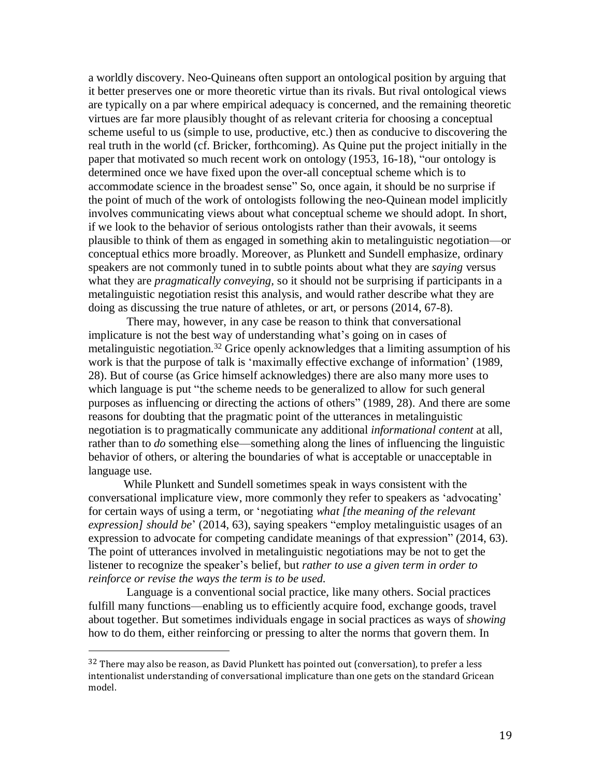a worldly discovery. Neo-Quineans often support an ontological position by arguing that it better preserves one or more theoretic virtue than its rivals. But rival ontological views are typically on a par where empirical adequacy is concerned, and the remaining theoretic virtues are far more plausibly thought of as relevant criteria for choosing a conceptual scheme useful to us (simple to use, productive, etc.) then as conducive to discovering the real truth in the world (cf. Bricker, forthcoming). As Quine put the project initially in the paper that motivated so much recent work on ontology (1953, 16-18), "our ontology is determined once we have fixed upon the over-all conceptual scheme which is to accommodate science in the broadest sense" So, once again, it should be no surprise if the point of much of the work of ontologists following the neo-Quinean model implicitly involves communicating views about what conceptual scheme we should adopt. In short, if we look to the behavior of serious ontologists rather than their avowals, it seems plausible to think of them as engaged in something akin to metalinguistic negotiation—or conceptual ethics more broadly. Moreover, as Plunkett and Sundell emphasize, ordinary speakers are not commonly tuned in to subtle points about what they are *saying* versus what they are *pragmatically conveying,* so it should not be surprising if participants in a metalinguistic negotiation resist this analysis, and would rather describe what they are doing as discussing the true nature of athletes, or art, or persons (2014, 67-8).

There may, however, in any case be reason to think that conversational implicature is not the best way of understanding what's going on in cases of metalinguistic negotiation. <sup>32</sup> Grice openly acknowledges that a limiting assumption of his work is that the purpose of talk is 'maximally effective exchange of information' (1989, 28). But of course (as Grice himself acknowledges) there are also many more uses to which language is put "the scheme needs to be generalized to allow for such general purposes as influencing or directing the actions of others" (1989, 28). And there are some reasons for doubting that the pragmatic point of the utterances in metalinguistic negotiation is to pragmatically communicate any additional *informational content* at all, rather than to *do* something else—something along the lines of influencing the linguistic behavior of others, or altering the boundaries of what is acceptable or unacceptable in language use.

While Plunkett and Sundell sometimes speak in ways consistent with the conversational implicature view, more commonly they refer to speakers as 'advocating' for certain ways of using a term, or 'negotiating *what [the meaning of the relevant expression] should be*' (2014, 63), saying speakers "employ metalinguistic usages of an expression to advocate for competing candidate meanings of that expression" (2014, 63). The point of utterances involved in metalinguistic negotiations may be not to get the listener to recognize the speaker's belief, but *rather to use a given term in order to reinforce or revise the ways the term is to be used.*

Language is a conventional social practice, like many others. Social practices fulfill many functions—enabling us to efficiently acquire food, exchange goods, travel about together. But sometimes individuals engage in social practices as ways of *showing* how to do them, either reinforcing or pressing to alter the norms that govern them. In

<sup>&</sup>lt;sup>32</sup> There may also be reason, as David Plunkett has pointed out (conversation), to prefer a less intentionalist understanding of conversational implicature than one gets on the standard Gricean model.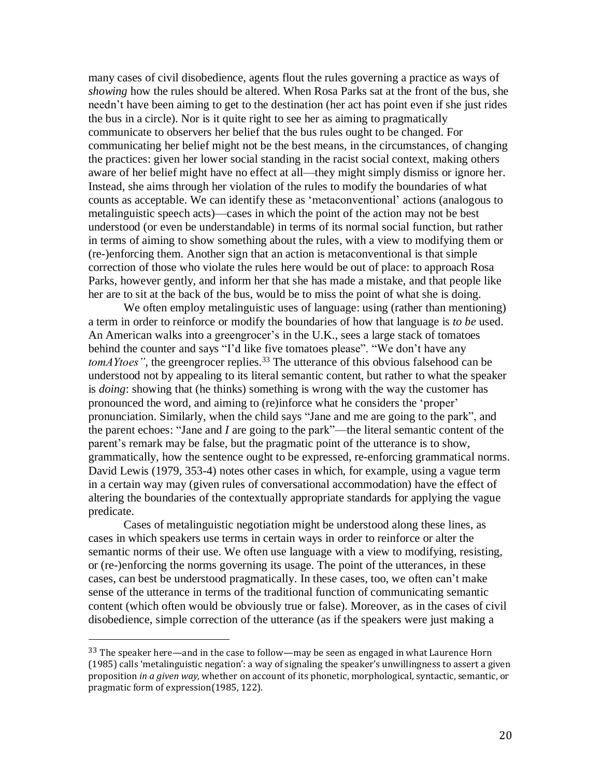many cases of civil disobedience, agents flout the rules governing a practice as ways of *showing* how the rules should be altered. When Rosa Parks sat at the front of the bus, she needn't have been aiming to get to the destination (her act has point even if she just rides the bus in a circle). Nor is it quite right to see her as aiming to pragmatically communicate to observers her belief that the bus rules ought to be changed. For communicating her belief might not be the best means, in the circumstances, of changing the practices: given her lower social standing in the racist social context, making others aware of her belief might have no effect at all—they might simply dismiss or ignore her. Instead, she aims through her violation of the rules to modify the boundaries of what counts as acceptable. We can identify these as 'metaconventional' actions (analogous to metalinguistic speech acts)—cases in which the point of the action may not be best understood (or even be understandable) in terms of its normal social function, but rather in terms of aiming to show something about the rules, with a view to modifying them or (re-)enforcing them. Another sign that an action is metaconventional is that simple correction of those who violate the rules here would be out of place: to approach Rosa Parks, however gently, and inform her that she has made a mistake, and that people like her are to sit at the back of the bus, would be to miss the point of what she is doing.

We often employ metalinguistic uses of language: using (rather than mentioning) a term in order to reinforce or modify the boundaries of how that language is *to be* used. An American walks into a greengrocer's in the U.K., sees a large stack of tomatoes behind the counter and says "I'd like five tomatoes please". "We don't have any *tomAYtoes"*, the greengrocer replies.<sup>33</sup> The utterance of this obvious falsehood can be understood not by appealing to its literal semantic content, but rather to what the speaker is *doing*: showing that (he thinks) something is wrong with the way the customer has pronounced the word, and aiming to (re)inforce what he considers the 'proper' pronunciation. Similarly, when the child says "Jane and me are going to the park", and the parent echoes: "Jane and *I* are going to the park"—the literal semantic content of the parent's remark may be false, but the pragmatic point of the utterance is to show, grammatically, how the sentence ought to be expressed, re-enforcing grammatical norms. David Lewis (1979, 353-4) notes other cases in which, for example, using a vague term in a certain way may (given rules of conversational accommodation) have the effect of altering the boundaries of the contextually appropriate standards for applying the vague predicate.

Cases of metalinguistic negotiation might be understood along these lines, as cases in which speakers use terms in certain ways in order to reinforce or alter the semantic norms of their use. We often use language with a view to modifying, resisting, or (re-)enforcing the norms governing its usage. The point of the utterances, in these cases, can best be understood pragmatically. In these cases, too, we often can't make sense of the utterance in terms of the traditional function of communicating semantic content (which often would be obviously true or false). Moreover, as in the cases of civil disobedience, simple correction of the utterance (as if the speakers were just making a

 $33$  The speaker here—and in the case to follow—may be seen as engaged in what Laurence Horn (1985) calls 'metalinguistic negation': a way of signaling the speaker's unwillingness to assert a given proposition *in a given way,* whether on account of its phonetic, morphological, syntactic, semantic, or pragmatic form of expression(1985, 122).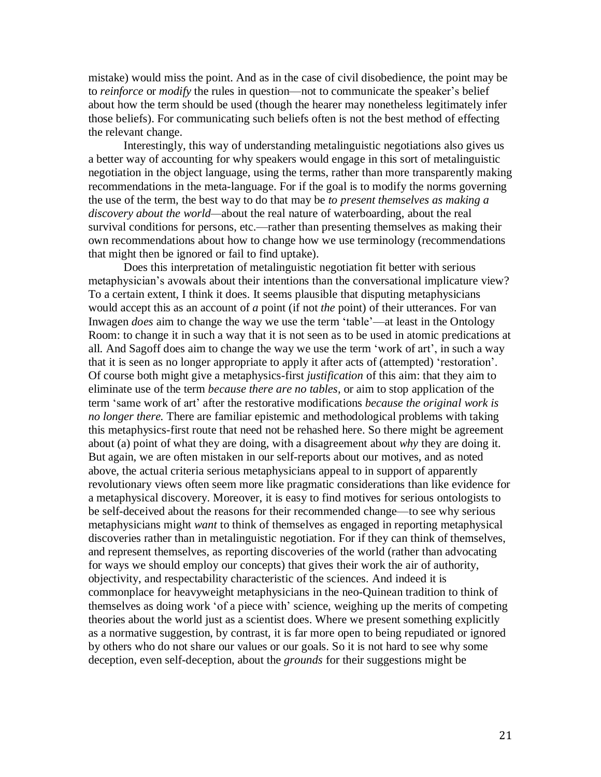mistake) would miss the point. And as in the case of civil disobedience, the point may be to *reinforce* or *modify* the rules in question—not to communicate the speaker's belief about how the term should be used (though the hearer may nonetheless legitimately infer those beliefs). For communicating such beliefs often is not the best method of effecting the relevant change.

Interestingly, this way of understanding metalinguistic negotiations also gives us a better way of accounting for why speakers would engage in this sort of metalinguistic negotiation in the object language, using the terms, rather than more transparently making recommendations in the meta-language. For if the goal is to modify the norms governing the use of the term, the best way to do that may be *to present themselves as making a discovery about the world—*about the real nature of waterboarding, about the real survival conditions for persons, etc.—rather than presenting themselves as making their own recommendations about how to change how we use terminology (recommendations that might then be ignored or fail to find uptake).

Does this interpretation of metalinguistic negotiation fit better with serious metaphysician's avowals about their intentions than the conversational implicature view? To a certain extent, I think it does. It seems plausible that disputing metaphysicians would accept this as an account of *a* point (if not *the* point) of their utterances. For van Inwagen *does* aim to change the way we use the term 'table'—at least in the Ontology Room: to change it in such a way that it is not seen as to be used in atomic predications at all. And Sagoff does aim to change the way we use the term 'work of art', in such a way that it is seen as no longer appropriate to apply it after acts of (attempted) 'restoration'. Of course both might give a metaphysics-first *justification* of this aim: that they aim to eliminate use of the term *because there are no tables,* or aim to stop application of the term 'same work of art' after the restorative modifications *because the original work is no longer there.* There are familiar epistemic and methodological problems with taking this metaphysics-first route that need not be rehashed here. So there might be agreement about (a) point of what they are doing, with a disagreement about *why* they are doing it. But again, we are often mistaken in our self-reports about our motives, and as noted above, the actual criteria serious metaphysicians appeal to in support of apparently revolutionary views often seem more like pragmatic considerations than like evidence for a metaphysical discovery. Moreover, it is easy to find motives for serious ontologists to be self-deceived about the reasons for their recommended change—to see why serious metaphysicians might *want* to think of themselves as engaged in reporting metaphysical discoveries rather than in metalinguistic negotiation. For if they can think of themselves, and represent themselves, as reporting discoveries of the world (rather than advocating for ways we should employ our concepts) that gives their work the air of authority, objectivity, and respectability characteristic of the sciences. And indeed it is commonplace for heavyweight metaphysicians in the neo-Quinean tradition to think of themselves as doing work 'of a piece with' science, weighing up the merits of competing theories about the world just as a scientist does. Where we present something explicitly as a normative suggestion, by contrast, it is far more open to being repudiated or ignored by others who do not share our values or our goals. So it is not hard to see why some deception, even self-deception, about the *grounds* for their suggestions might be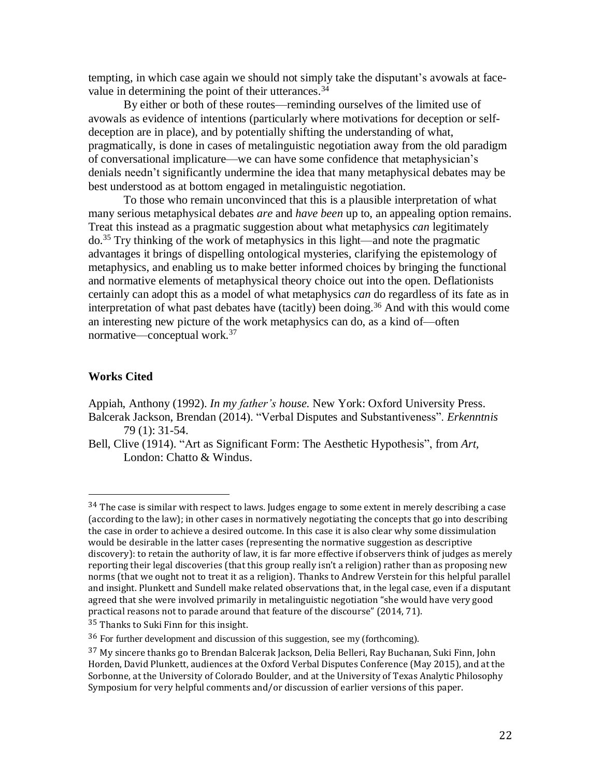tempting, in which case again we should not simply take the disputant's avowals at facevalue in determining the point of their utterances.<sup>34</sup>

By either or both of these routes—reminding ourselves of the limited use of avowals as evidence of intentions (particularly where motivations for deception or selfdeception are in place), and by potentially shifting the understanding of what, pragmatically, is done in cases of metalinguistic negotiation away from the old paradigm of conversational implicature—we can have some confidence that metaphysician's denials needn't significantly undermine the idea that many metaphysical debates may be best understood as at bottom engaged in metalinguistic negotiation.

To those who remain unconvinced that this is a plausible interpretation of what many serious metaphysical debates *are* and *have been* up to, an appealing option remains. Treat this instead as a pragmatic suggestion about what metaphysics *can* legitimately  $\mu$ <sup>35</sup> Try thinking of the work of metaphysics in this light—and note the pragmatic advantages it brings of dispelling ontological mysteries, clarifying the epistemology of metaphysics, and enabling us to make better informed choices by bringing the functional and normative elements of metaphysical theory choice out into the open. Deflationists certainly can adopt this as a model of what metaphysics *can* do regardless of its fate as in interpretation of what past debates have (tacitly) been doing.<sup>36</sup> And with this would come an interesting new picture of the work metaphysics can do, as a kind of—often normative—conceptual work.<sup>37</sup>

## **Works Cited**

 $\overline{a}$ 

Appiah, Anthony (1992). *In my father's house.* New York: Oxford University Press. Balcerak Jackson, Brendan (2014). "Verbal Disputes and Substantiveness". *Erkenntnis* 79 (1): 31-54.

Bell, Clive (1914). "Art as Significant Form: The Aesthetic Hypothesis", from *Art,* London: Chatto & Windus.

 $34$  The case is similar with respect to laws. Judges engage to some extent in merely describing a case (according to the law); in other cases in normatively negotiating the concepts that go into describing the case in order to achieve a desired outcome. In this case it is also clear why some dissimulation would be desirable in the latter cases (representing the normative suggestion as descriptive discovery): to retain the authority of law, it is far more effective if observers think of judges as merely reporting their legal discoveries (that this group really isn't a religion) rather than as proposing new norms (that we ought not to treat it as a religion). Thanks to Andrew Verstein for this helpful parallel and insight. Plunkett and Sundell make related observations that, in the legal case, even if a disputant agreed that she were involved primarily in metalinguistic negotiation "she would have very good practical reasons not to parade around that feature of the discourse" (2014, 71).

<sup>35</sup> Thanks to Suki Finn for this insight.

<sup>36</sup> For further development and discussion of this suggestion, see my (forthcoming).

<sup>&</sup>lt;sup>37</sup> My sincere thanks go to Brendan Balcerak Jackson, Delia Belleri, Ray Buchanan, Suki Finn, John Horden, David Plunkett, audiences at the Oxford Verbal Disputes Conference (May 2015), and at the Sorbonne, at the University of Colorado Boulder, and at the University of Texas Analytic Philosophy Symposium for very helpful comments and/or discussion of earlier versions of this paper.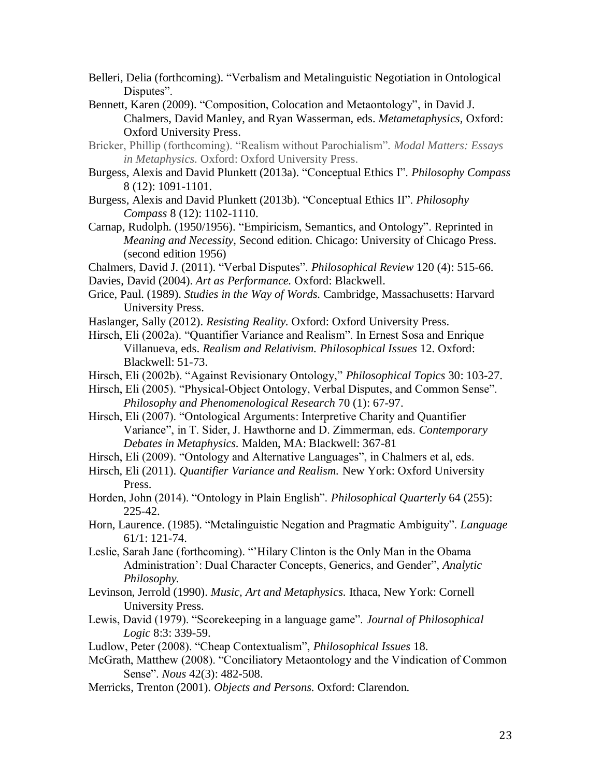- Belleri, Delia (forthcoming). "Verbalism and Metalinguistic Negotiation in Ontological Disputes".
- Bennett, Karen (2009). "Composition, Colocation and Metaontology", in David J. Chalmers, David Manley, and Ryan Wasserman, eds. *Metametaphysics,* Oxford: Oxford University Press.
- Bricker, Phillip (forthcoming). "Realism without Parochialism". *Modal Matters: Essays in Metaphysics.* Oxford: Oxford University Press.
- Burgess, Alexis and David Plunkett (2013a). "Conceptual Ethics I". *Philosophy Compass* 8 (12): 1091-1101.
- Burgess, Alexis and David Plunkett (2013b). "Conceptual Ethics II". *Philosophy Compass* 8 (12): 1102-1110.
- Carnap, Rudolph. (1950/1956). "Empiricism, Semantics, and Ontology". Reprinted in *Meaning and Necessity,* Second edition. Chicago: University of Chicago Press. (second edition 1956)

Chalmers, David J. (2011). "Verbal Disputes". *Philosophical Review* 120 (4): 515-66.

Davies, David (2004). *Art as Performance.* Oxford: Blackwell.

- Grice, Paul. (1989). *Studies in the Way of Words.* Cambridge, Massachusetts: Harvard University Press.
- Haslanger, Sally (2012). *Resisting Reality.* Oxford: Oxford University Press.
- Hirsch, Eli (2002a). "Quantifier Variance and Realism". In Ernest Sosa and Enrique Villanueva, eds. *Realism and Relativism. Philosophical Issues* 12. Oxford: Blackwell: 51-73.
- Hirsch, Eli (2002b). "Against Revisionary Ontology," *Philosophical Topics* 30: 103-27.
- Hirsch, Eli (2005). "Physical-Object Ontology, Verbal Disputes, and Common Sense". *Philosophy and Phenomenological Research* 70 (1): 67-97.
- Hirsch, Eli (2007). "Ontological Arguments: Interpretive Charity and Quantifier Variance", in T. Sider, J. Hawthorne and D. Zimmerman, eds. *Contemporary Debates in Metaphysics.* Malden, MA: Blackwell: 367-81
- Hirsch, Eli (2009). "Ontology and Alternative Languages", in Chalmers et al, eds.
- Hirsch, Eli (2011). *Quantifier Variance and Realism.* New York: Oxford University Press.
- Horden, John (2014). "Ontology in Plain English". *Philosophical Quarterly* 64 (255): 225-42.
- Horn, Laurence. (1985). "Metalinguistic Negation and Pragmatic Ambiguity". *Language*  61/1: 121-74.
- Leslie, Sarah Jane (forthcoming). "'Hilary Clinton is the Only Man in the Obama Administration': Dual Character Concepts, Generics, and Gender", *Analytic Philosophy.*
- Levinson, Jerrold (1990). *Music, Art and Metaphysics.* Ithaca, New York: Cornell University Press.
- Lewis, David (1979). "Scorekeeping in a language game". *Journal of Philosophical Logic* 8:3: 339-59.
- Ludlow, Peter (2008). "Cheap Contextualism", *Philosophical Issues* 18.
- McGrath, Matthew (2008). "Conciliatory Metaontology and the Vindication of Common Sense". *Nous* 42(3): 482-508.
- Merricks, Trenton (2001). *Objects and Persons.* Oxford: Clarendon.